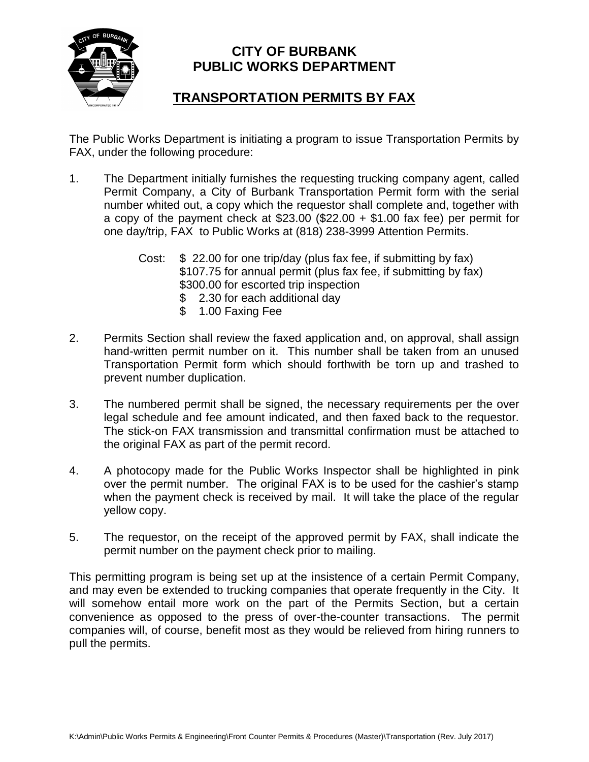

## **CITY OF BURBANK PUBLIC WORKS DEPARTMENT**

## **TRANSPORTATION PERMITS BY FAX**

The Public Works Department is initiating a program to issue Transportation Permits by FAX, under the following procedure:

- 1. The Department initially furnishes the requesting trucking company agent, called Permit Company, a City of Burbank Transportation Permit form with the serial number whited out, a copy which the requestor shall complete and, together with a copy of the payment check at  $$23.00$  ( $$22.00 + $1.00$  fax fee) per permit for one day/trip, FAX to Public Works at (818) 238-3999 Attention Permits.
	- Cost: \$ 22.00 for one trip/day (plus fax fee, if submitting by fax) \$107.75 for annual permit (plus fax fee, if submitting by fax) \$300.00 for escorted trip inspection \$ 2.30 for each additional day
		- \$ 1.00 Faxing Fee
- 2. Permits Section shall review the faxed application and, on approval, shall assign hand-written permit number on it. This number shall be taken from an unused Transportation Permit form which should forthwith be torn up and trashed to prevent number duplication.
- 3. The numbered permit shall be signed, the necessary requirements per the over legal schedule and fee amount indicated, and then faxed back to the requestor. The stick-on FAX transmission and transmittal confirmation must be attached to the original FAX as part of the permit record.
- 4. A photocopy made for the Public Works Inspector shall be highlighted in pink over the permit number. The original FAX is to be used for the cashier's stamp when the payment check is received by mail. It will take the place of the regular yellow copy.
- 5. The requestor, on the receipt of the approved permit by FAX, shall indicate the permit number on the payment check prior to mailing.

This permitting program is being set up at the insistence of a certain Permit Company, and may even be extended to trucking companies that operate frequently in the City. It will somehow entail more work on the part of the Permits Section, but a certain convenience as opposed to the press of over-the-counter transactions. The permit companies will, of course, benefit most as they would be relieved from hiring runners to pull the permits.